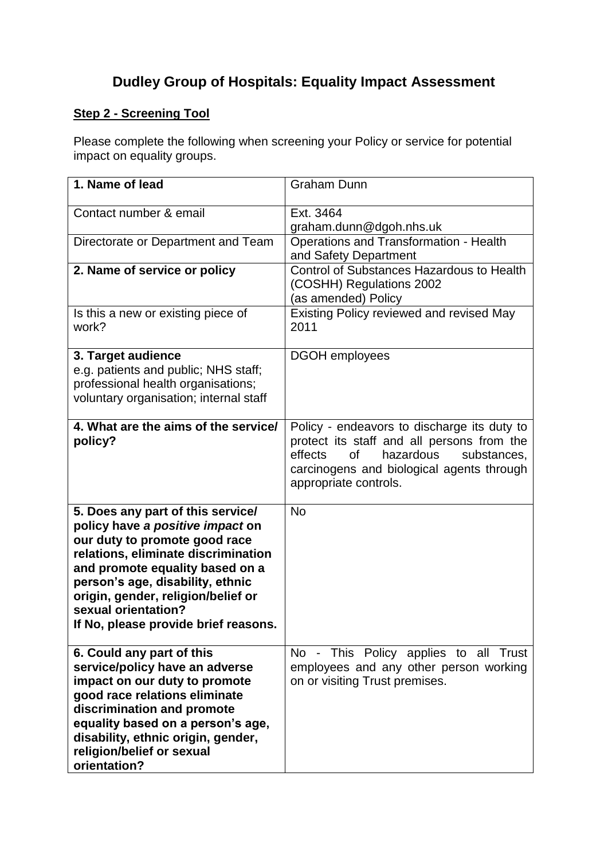# **Dudley Group of Hospitals: Equality Impact Assessment**

# **Step 2 - Screening Tool**

Please complete the following when screening your Policy or service for potential impact on equality groups.

| 1. Name of lead                                                                                                                                                                                                                                                                                                           | <b>Graham Dunn</b>                                                                                                                                                                                                  |
|---------------------------------------------------------------------------------------------------------------------------------------------------------------------------------------------------------------------------------------------------------------------------------------------------------------------------|---------------------------------------------------------------------------------------------------------------------------------------------------------------------------------------------------------------------|
| Contact number & email                                                                                                                                                                                                                                                                                                    | Ext. 3464<br>graham.dunn@dgoh.nhs.uk                                                                                                                                                                                |
| Directorate or Department and Team                                                                                                                                                                                                                                                                                        | Operations and Transformation - Health<br>and Safety Department                                                                                                                                                     |
| 2. Name of service or policy                                                                                                                                                                                                                                                                                              | <b>Control of Substances Hazardous to Health</b><br>(COSHH) Regulations 2002<br>(as amended) Policy                                                                                                                 |
| Is this a new or existing piece of<br>work?                                                                                                                                                                                                                                                                               | Existing Policy reviewed and revised May<br>2011                                                                                                                                                                    |
| 3. Target audience<br>e.g. patients and public; NHS staff;<br>professional health organisations;<br>voluntary organisation; internal staff                                                                                                                                                                                | <b>DGOH</b> employees                                                                                                                                                                                               |
| 4. What are the aims of the service/<br>policy?                                                                                                                                                                                                                                                                           | Policy - endeavors to discharge its duty to<br>protect its staff and all persons from the<br>effects<br><b>of</b><br>hazardous<br>substances,<br>carcinogens and biological agents through<br>appropriate controls. |
| 5. Does any part of this service/<br>policy have a positive impact on<br>our duty to promote good race<br>relations, eliminate discrimination<br>and promote equality based on a<br>person's age, disability, ethnic<br>origin, gender, religion/belief or<br>sexual orientation?<br>If No, please provide brief reasons. | <b>No</b>                                                                                                                                                                                                           |
| 6. Could any part of this<br>service/policy have an adverse<br>impact on our duty to promote<br>good race relations eliminate<br>discrimination and promote<br>equality based on a person's age,<br>disability, ethnic origin, gender,<br>religion/belief or sexual<br>orientation?                                       | No - This Policy applies to all Trust<br>employees and any other person working<br>on or visiting Trust premises.                                                                                                   |